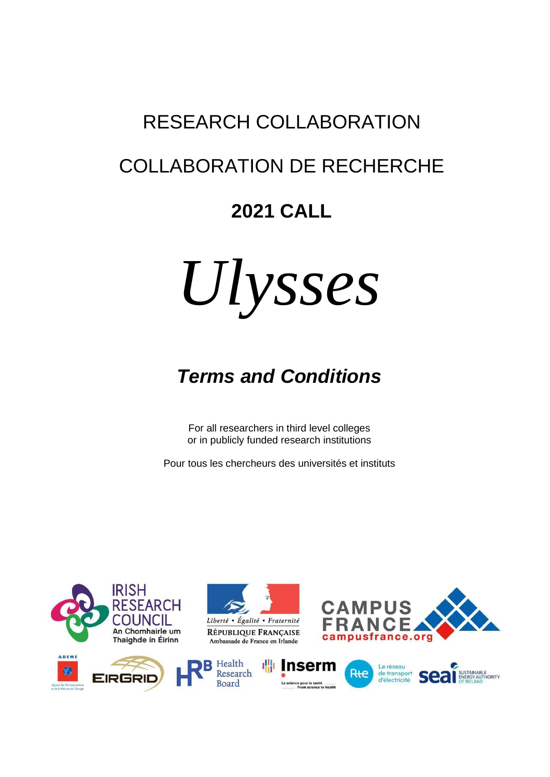# RESEARCH COLLABORATION

## COLLABORATION DE RECHERCHE

## **2021 CALL**



# *Terms and Conditions*

For all researchers in third level colleges or in publicly funded research institutions

Pour tous les chercheurs des universités et instituts

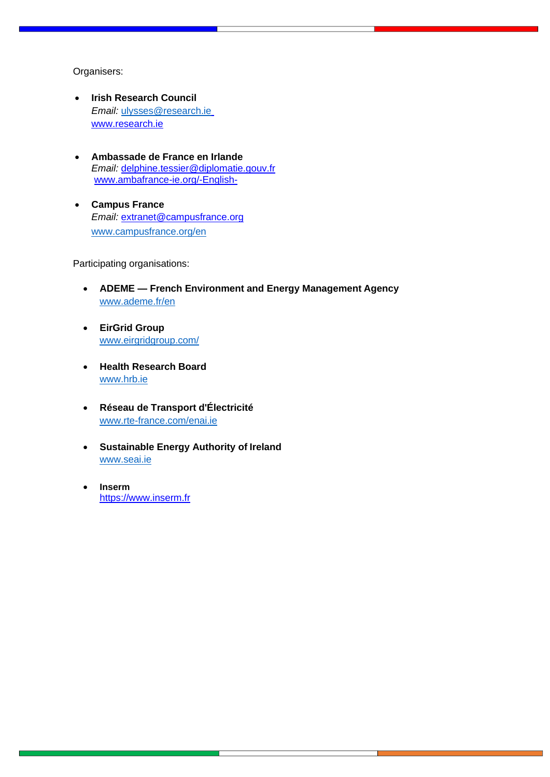#### Organisers:

- **Irish Research Council**  *Email:* [ulysses@research.ie](mailto:ulysses@research.ie) www.research.ie
- **Ambassade de France en Irlande**  *Email:* [delphine.tessier@diplomatie.gouv.fr](mailto:delphine.tessier@diplomatie.gouv.fr)  [www.ambafrance-ie.org/-English-](http://www.ambafrance-ie.org/-English-)
- **Campus France** *Email:* [extranet@campusfrance.org](mailto:extranet@campusfrance.org) [www.campusfrance.org/en](http://www.campusfrance.org/en)

Participating organisations:

- **ADEME — French Environment and Energy Management Agency** [www.ademe.fr/en](http://www.ademe.fr/en)
- **EirGrid Group** [www.eirgridgroup.com/](http://www.eirgridgroup.com/)
- **Health Research Board** [www.hrb.ie](http://www.hrb.ie/)
- **Réseau de Transport d'Électricité** [www.rte-france.com/enai.ie](http://www.rte-france.com/enai.ie)
- **Sustainable Energy Authority of Ireland** [www.seai.ie](http://www.seai.ie/)
- **Inserm** [https://www.inserm.fr](https://www.inserm.fr/)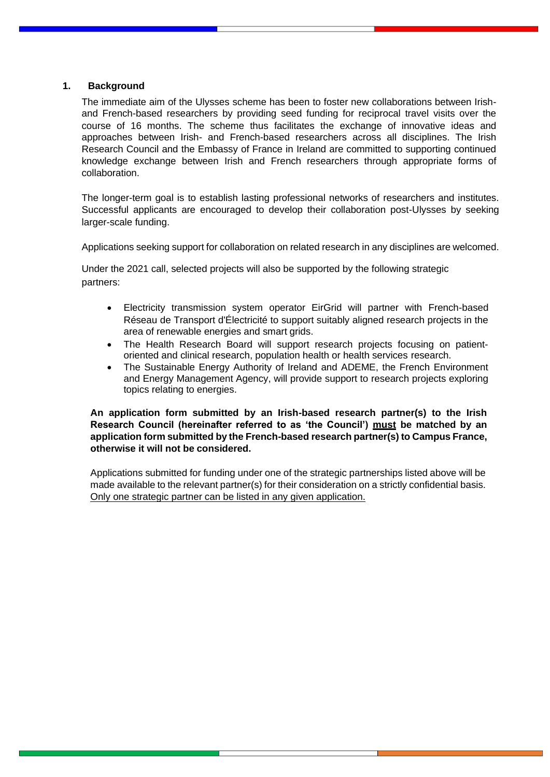#### **1. Background**

The immediate aim of the Ulysses scheme has been to foster new collaborations between Irishand French-based researchers by providing seed funding for reciprocal travel visits over the course of 16 months. The scheme thus facilitates the exchange of innovative ideas and approaches between Irish- and French-based researchers across all disciplines. The Irish Research Council and the Embassy of France in Ireland are committed to supporting continued knowledge exchange between Irish and French researchers through appropriate forms of collaboration.

The longer-term goal is to establish lasting professional networks of researchers and institutes. Successful applicants are encouraged to develop their collaboration post-Ulysses by seeking larger-scale funding.

Applications seeking support for collaboration on related research in any disciplines are welcomed.

Under the 2021 call, selected projects will also be supported by the following strategic partners:

- Electricity transmission system operator EirGrid will partner with French-based Réseau de Transport d'Électricité to support suitably aligned research projects in the area of renewable energies and smart grids.
- The Health Research Board will support research projects focusing on patientoriented and clinical research, population health or health services research.
- The Sustainable Energy Authority of Ireland and ADEME, the French Environment and Energy Management Agency, will provide support to research projects exploring topics relating to energies.

**An application form submitted by an Irish-based research partner(s) to the Irish Research Council (hereinafter referred to as 'the Council') must be matched by an application form submitted by the French-based research partner(s) to Campus France, otherwise it will not be considered.**

Applications submitted for funding under one of the strategic partnerships listed above will be made available to the relevant partner(s) for their consideration on a strictly confidential basis. Only one strategic partner can be listed in any given application.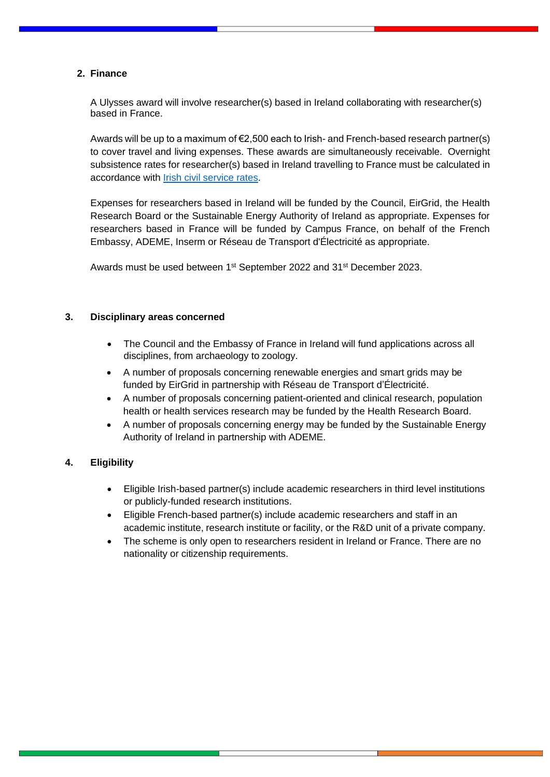#### **2. Finance**

A Ulysses award will involve researcher(s) based in Ireland collaborating with researcher(s) based in France.

Awards will be up to a maximum of  $\epsilon$ 2,500 each to Irish- and French-based research partner(s) to cover travel and living expenses. These awards are simultaneously receivable. Overnight subsistence rates for researcher(s) based in Ireland travelling to France must be calculated in accordance with [Irish civil service](https://www.revenue.ie/en/employing-people/employee-expenses/travel-and-subsistence/civil-service-rates.aspx) rates.

Expenses for researchers based in Ireland will be funded by the Council, EirGrid, the Health Research Board or the Sustainable Energy Authority of Ireland as appropriate. Expenses for researchers based in France will be funded by Campus France, on behalf of the French Embassy, ADEME, Inserm or Réseau de Transport d'Électricité as appropriate.

Awards must be used between 1<sup>st</sup> September 2022 and 31<sup>st</sup> December 2023.

#### **3. Disciplinary areas concerned**

- The Council and the Embassy of France in Ireland will fund applications across all disciplines, from archaeology to zoology.
- A number of proposals concerning renewable energies and smart grids may be funded by EirGrid in partnership with Réseau de Transport d'Électricité.
- A number of proposals concerning patient-oriented and clinical research, population health or health services research may be funded by the Health Research Board.
- A number of proposals concerning energy may be funded by the Sustainable Energy Authority of Ireland in partnership with ADEME.

#### **4. Eligibility**

- Eligible Irish-based partner(s) include academic researchers in third level institutions or publicly-funded research institutions.
- Eligible French-based partner(s) include academic researchers and staff in an academic institute, research institute or facility, or the R&D unit of a private company.
- The scheme is only open to researchers resident in Ireland or France. There are no nationality or citizenship requirements.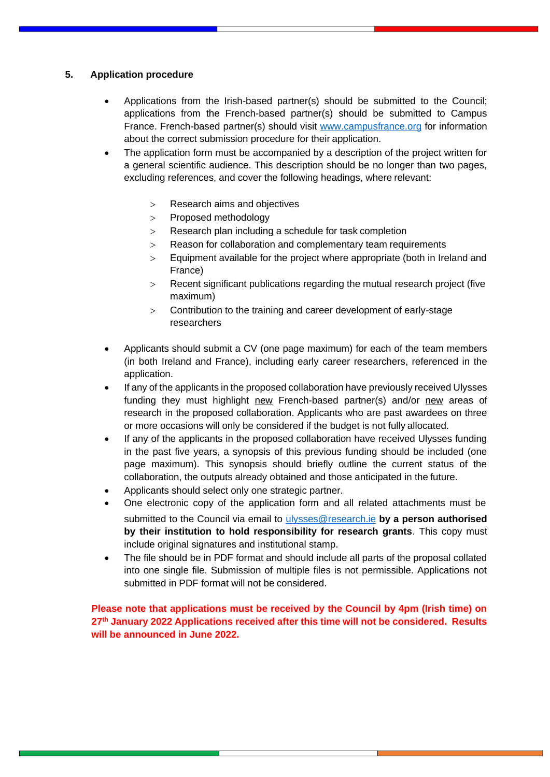### **5. Application procedure**

- Applications from the Irish-based partner(s) should be submitted to the Council; applications from the French-based partner(s) should be submitted to Campus France. French-based partner(s) should visit [www.campusfrance.org](http://www.campusfrance.org/) for information about the correct submission procedure for their application.
- The application form must be accompanied by a description of the project written for a general scientific audience. This description should be no longer than two pages, excluding references, and cover the following headings, where relevant:
	- Research aims and objectives
	- > Proposed methodology
	- Research plan including a schedule for task completion
	- > Reason for collaboration and complementary team requirements
	- Equipment available for the project where appropriate (both in Ireland and France)
	- Recent significant publications regarding the mutual research project (five maximum)
	- Contribution to the training and career development of early-stage researchers
- Applicants should submit a CV (one page maximum) for each of the team members (in both Ireland and France), including early career researchers, referenced in the application.
- If any of the applicants in the proposed collaboration have previously received Ulysses funding they must highlight new French-based partner(s) and/or new areas of research in the proposed collaboration. Applicants who are past awardees on three or more occasions will only be considered if the budget is not fully allocated.
- If any of the applicants in the proposed collaboration have received Ulysses funding in the past five years, a synopsis of this previous funding should be included (one page maximum). This synopsis should briefly outline the current status of the collaboration, the outputs already obtained and those anticipated in the future.
- Applicants should select only one strategic partner.
- One electronic copy of the application form and all related attachments must be submitted to the Council via email to [ulysses@research.ie](mailto:ulysses@research.ieb) **by a person authorised by their institution to hold responsibility for research grants**. This copy must include original signatures and institutional stamp.
- The file should be in PDF format and should include all parts of the proposal collated into one single file. Submission of multiple files is not permissible. Applications not submitted in PDF format will not be considered.

**Please note that applications must be received by the Council by 4pm (Irish time) on 27 th January 2022 Applications received after this time will not be considered. Results will be announced in June 2022.**